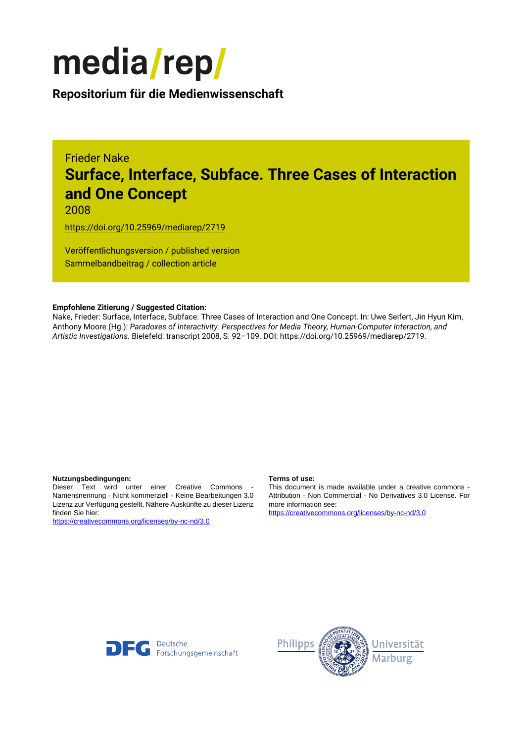

**Repositorium für die [Medienwissenschaft](https://mediarep.org)**

### Frieder Nake **Surface, Interface, Subface. Three Cases of Interaction and One Concept**

2008

<https://doi.org/10.25969/mediarep/2719>

Veröffentlichungsversion / published version Sammelbandbeitrag / collection article

#### **Empfohlene Zitierung / Suggested Citation:**

Nake, Frieder: Surface, Interface, Subface. Three Cases of Interaction and One Concept. In: Uwe Seifert, Jin Hyun Kim, Anthony Moore (Hg.): *Paradoxes of Interactivity. Perspectives for Media Theory, Human-Computer Interaction, and Artistic Investigations.* Bielefeld: transcript 2008, S. 92–109. DOI: https://doi.org/10.25969/mediarep/2719.

#### **Nutzungsbedingungen: Terms of use:**

Dieser Text wird unter einer Creative Commons - Namensnennung - Nicht kommerziell - Keine Bearbeitungen 3.0 Lizenz zur Verfügung gestellt. Nähere Auskünfte zu dieser Lizenz finden Sie hier:

<https://creativecommons.org/licenses/by-nc-nd/3.0>

This document is made available under a creative commons - Attribution - Non Commercial - No Derivatives 3.0 License. For more information see:

<https://creativecommons.org/licenses/by-nc-nd/3.0>



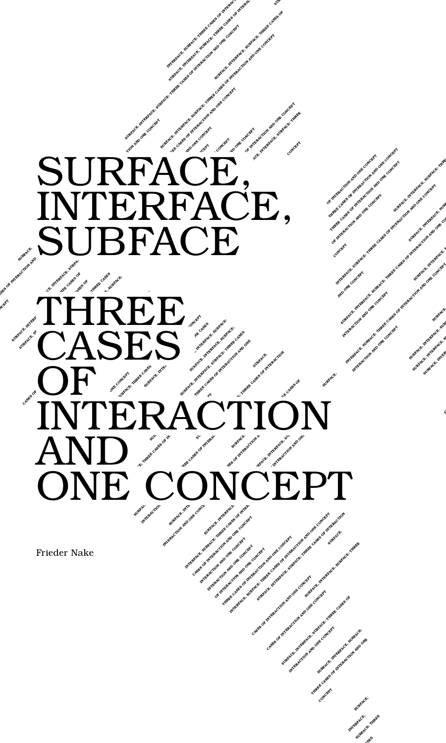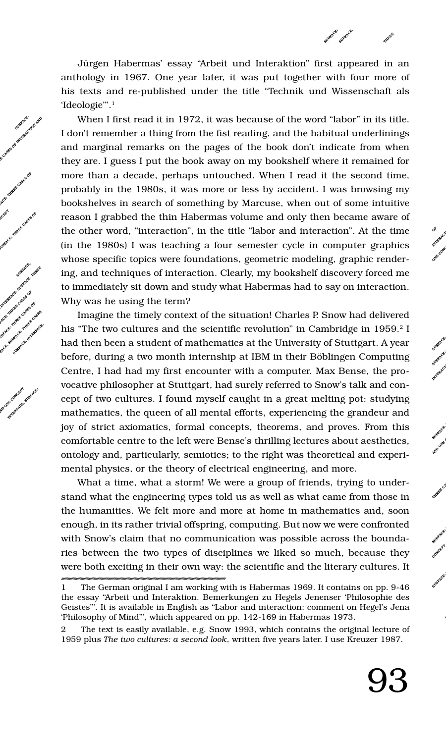Jürgen Habermas' essay "Arbeit und Interaktion" first appeared in an anthology in 1967. One year later, it was put together with four more of his texts and re-published under the title "Technik und Wissenschaft als 'Ideologie'".1

SUBFACE:

SURFACE,

**INTERFACE, THREE**

> **OF** OF ACTION ONE CONC<br>ONE CONC

SURFACE, SUBFACE: **INTERACTION AND O SURFACE, INTERFAC THREE CASES OF INT**

 $\mathbf{S}^{\mathbf{U}}$ **AUDITERS SHED ONES ONE CONCEPT THREE CAS SURFACE, INTERFAC**

 $\text{supp} \mathbf{F}^{\text{CE}}$ SURFACE,  $\mathbf{C}^{\mathbf{D}^{\mathbf{R}}\mathbf{C}^{\mathbf{S}^{\mathbf{R}^{\mathbf{R}}}}$  $\Phi$ **SURFACE, INTERFAC**

**OF INTERA**

When I first read it in 1972, it was because of the word "labor" in its title. I don't remember a thing from the fist reading, and the habitual underlinings and marginal remarks on the pages of the book don't indicate from when they are. I guess I put the book away on my bookshelf where it remained for more than a decade, perhaps untouched. When I read it the second time, probably in the 1980s, it was more or less by accident. I was browsing my bookshelves in search of something by Marcuse, when out of some intuitive reason I grabbed the thin Habermas volume and only then became aware of the other word, "interaction", in the title "labor and interaction". At the time (in the 1980s) I was teaching a four semester cycle in computer graphics whose specific topics were foundations, geometric modeling, graphic rendering, and techniques of interaction. Clearly, my bookshelf discovery forced me to immediately sit down and study what Habermas had to say on interaction. Why was he using the term?

**CASES OF BUREAUCH AND**<br>
SURFACE, ONE OF INTERFACE, ONE OF INTERFACE,

**F INTERACTION AND ONE CONCEPT FACE, SUBFACE: THREE CASES OF ND CONCEPT** CONSERVACE **: THREE CASES OF INTERACTION AND ONE TERFACE, SUBFACE: THREE CASES OF**

E CONCEPT<sup>RACTION</sup> **IS THE POST OF SURFACE,** 

**SURFACE, INTERFACE, INTERFACE, INTERFACE, INTERFACE, INTERFACE, INTERFACE, INTERFACE, INTERFACE, INTERFACE, INTERFACE, INTERFACE, INTERFACE, INTERFACE, INTERFACE, INTERFACE, INTERFACE, INTERFACE, INTERFACE, INTERFACE, INT FACE, SUBFACE: THREE CASES OF ERFACE, ACES**<br>ACE, INTERFACE, INTERFACE, INTERFACE, INTERFACE, INTERFACE, INTERFACE, INTERFACE, INTERFACE, INTERFACE, INTERF **Notified in the concept of the substitution** 

an over control sometic

Imagine the timely context of the situation! Charles P. Snow had delivered his "The two cultures and the scientific revolution" in Cambridge in 1959.<sup>2</sup> I had then been a student of mathematics at the University of Stuttgart. A year before, during a two month internship at IBM in their Böblingen Computing Centre, I had had my first encounter with a computer. Max Bense, the provocative philosopher at Stuttgart, had surely referred to Snow's talk and concept of two cultures. I found myself caught in a great melting pot: studying mathematics, the queen of all mental efforts, experiencing the grandeur and joy of strict axiomatics, formal concepts, theorems, and proves. From this comfortable centre to the left were Bense's thrilling lectures about aesthetics, ontology and, particularly, semiotics; to the right was theoretical and experimental physics, or the theory of electrical engineering, and more.

What a time, what a storm! We were a group of friends, trying to understand what the engineering types told us as well as what came from those in the humanities. We felt more and more at home in mathematics and, soon enough, in its rather trivial offspring, computing. But now we were confronted with Snow's claim that no communication was possible across the boundaries between the two types of disciplines we liked so much, because they were both exciting in their own way: the scientific and the literary cultures. It

<sup>1</sup> The German original I am working with is Habermas 1969. It contains on pp. 9-46 the essay "Arbeit und Interaktion. Bemerkungen zu Hegels Jenenser 'Philosophie des Geistes'". It is available in English as "Labor and interaction: comment on Hegel's Jena 'Philosophy of Mind'", which appeared on pp. 142-169 in Habermas 1973.

<sup>2</sup> The text is easily available, e.g. Snow 1993, which contains the original lecture of 1959 plus *The two cultures: a second look*, written five years later. I use Kreuzer 1987.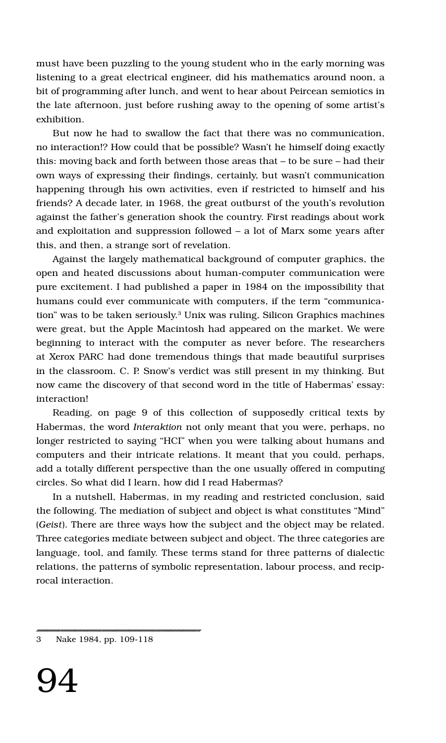must have been puzzling to the young student who in the early morning was listening to a great electrical engineer, did his mathematics around noon, a bit of programming after lunch, and went to hear about Peircean semiotics in the late afternoon, just before rushing away to the opening of some artist's exhibition.

But now he had to swallow the fact that there was no communication, no interaction!? How could that be possible? Wasn't he himself doing exactly this: moving back and forth between those areas that – to be sure – had their own ways of expressing their findings, certainly, but wasn't communication happening through his own activities, even if restricted to himself and his friends? A decade later, in 1968, the great outburst of the youth's revolution against the father's generation shook the country. First readings about work and exploitation and suppression followed – a lot of Marx some years after this, and then, a strange sort of revelation.

Against the largely mathematical background of computer graphics, the open and heated discussions about human-computer communication were pure excitement. I had published a paper in 1984 on the impossibility that humans could ever communicate with computers, if the term "communication" was to be taken seriously.3 Unix was ruling, Silicon Graphics machines were great, but the Apple Macintosh had appeared on the market. We were beginning to interact with the computer as never before. The researchers at Xerox PARC had done tremendous things that made beautiful surprises in the classroom. C. P. Snow's verdict was still present in my thinking. But now came the discovery of that second word in the title of Habermas' essay: interaction!

Reading, on page 9 of this collection of supposedly critical texts by Habermas, the word *Interaktion* not only meant that you were, perhaps, no longer restricted to saying "HCI" when you were talking about humans and computers and their intricate relations. It meant that you could, perhaps, add a totally different perspective than the one usually offered in computing circles. So what did I learn, how did I read Habermas?

In a nutshell, Habermas, in my reading and restricted conclusion, said the following. The mediation of subject and object is what constitutes "Mind" (*Geist*). There are three ways how the subject and the object may be related. Three categories mediate between subject and object. The three categories are language, tool, and family. These terms stand for three patterns of dialectic relations, the patterns of symbolic representation, labour process, and reciprocal interaction.

<sup>3</sup> Nake 1984, pp. 109-118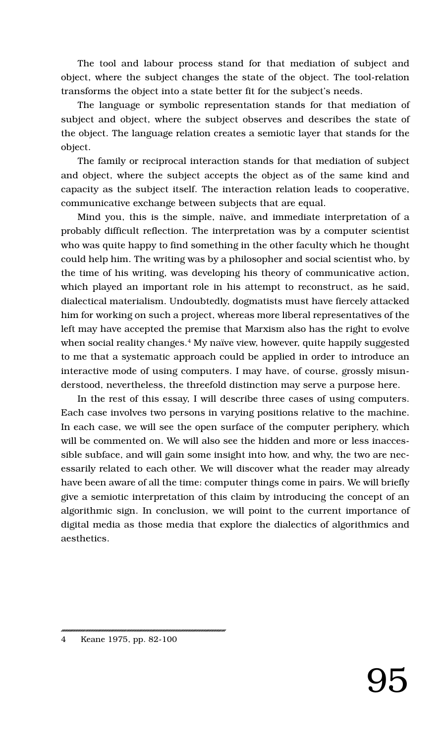The tool and labour process stand for that mediation of subject and object, where the subject changes the state of the object. The tool-relation transforms the object into a state better fit for the subject's needs.

The language or symbolic representation stands for that mediation of subject and object, where the subject observes and describes the state of the object. The language relation creates a semiotic layer that stands for the object.

The family or reciprocal interaction stands for that mediation of subject and object, where the subject accepts the object as of the same kind and capacity as the subject itself. The interaction relation leads to cooperative, communicative exchange between subjects that are equal.

Mind you, this is the simple, naïve, and immediate interpretation of a probably difficult reflection. The interpretation was by a computer scientist who was quite happy to find something in the other faculty which he thought could help him. The writing was by a philosopher and social scientist who, by the time of his writing, was developing his theory of communicative action, which played an important role in his attempt to reconstruct, as he said, dialectical materialism. Undoubtedly, dogmatists must have fiercely attacked him for working on such a project, whereas more liberal representatives of the left may have accepted the premise that Marxism also has the right to evolve when social reality changes.<sup>4</sup> My naïve view, however, quite happily suggested to me that a systematic approach could be applied in order to introduce an interactive mode of using computers. I may have, of course, grossly misunderstood, nevertheless, the threefold distinction may serve a purpose here.

In the rest of this essay, I will describe three cases of using computers. Each case involves two persons in varying positions relative to the machine. In each case, we will see the open surface of the computer periphery, which will be commented on. We will also see the hidden and more or less inaccessible subface, and will gain some insight into how, and why, the two are necessarily related to each other. We will discover what the reader may already have been aware of all the time: computer things come in pairs. We will briefly give a semiotic interpretation of this claim by introducing the concept of an algorithmic sign. In conclusion, we will point to the current importance of digital media as those media that explore the dialectics of algorithmics and aesthetics.

<sup>4</sup> Keane 1975, pp. 82-100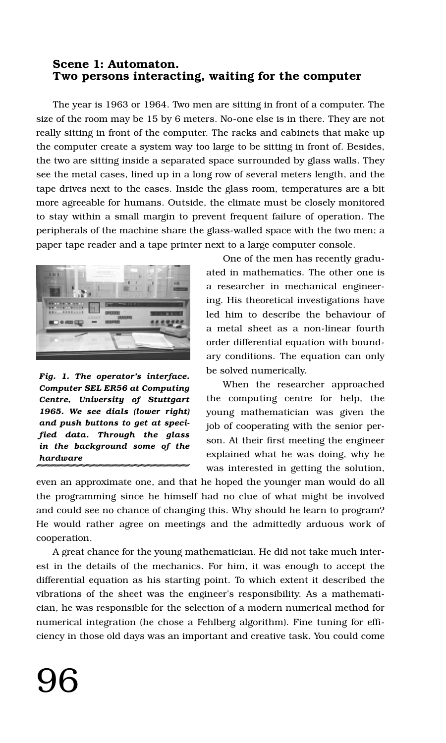#### **Scene 1: Automaton. Two persons interacting, waiting for the computer**

The year is 1963 or 1964. Two men are sitting in front of a computer. The size of the room may be 15 by 6 meters. No-one else is in there. They are not really sitting in front of the computer. The racks and cabinets that make up the computer create a system way too large to be sitting in front of. Besides, the two are sitting inside a separated space surrounded by glass walls. They see the metal cases, lined up in a long row of several meters length, and the tape drives next to the cases. Inside the glass room, temperatures are a bit more agreeable for humans. Outside, the climate must be closely monitored to stay within a small margin to prevent frequent failure of operation. The peripherals of the machine share the glass-walled space with the two men; a paper tape reader and a tape printer next to a large computer console.



*Fig. 1. The operator's interface. Computer SEL ER56 at Computing Centre, University of Stuttgart 1965. We see dials (lower right) and push buttons to get at specified data. Through the glass in the background some of the hardware*

One of the men has recently graduated in mathematics. The other one is a researcher in mechanical engineering. His theoretical investigations have led him to describe the behaviour of a metal sheet as a non-linear fourth order differential equation with boundary conditions. The equation can only be solved numerically.

When the researcher approached the computing centre for help, the young mathematician was given the job of cooperating with the senior person. At their first meeting the engineer explained what he was doing, why he was interested in getting the solution,

even an approximate one, and that he hoped the younger man would do all the programming since he himself had no clue of what might be involved and could see no chance of changing this. Why should he learn to program? He would rather agree on meetings and the admittedly arduous work of cooperation.

A great chance for the young mathematician. He did not take much interest in the details of the mechanics. For him, it was enough to accept the differential equation as his starting point. To which extent it described the vibrations of the sheet was the engineer's responsibility. As a mathematician, he was responsible for the selection of a modern numerical method for numerical integration (he chose a Fehlberg algorithm). Fine tuning for efficiency in those old days was an important and creative task. You could come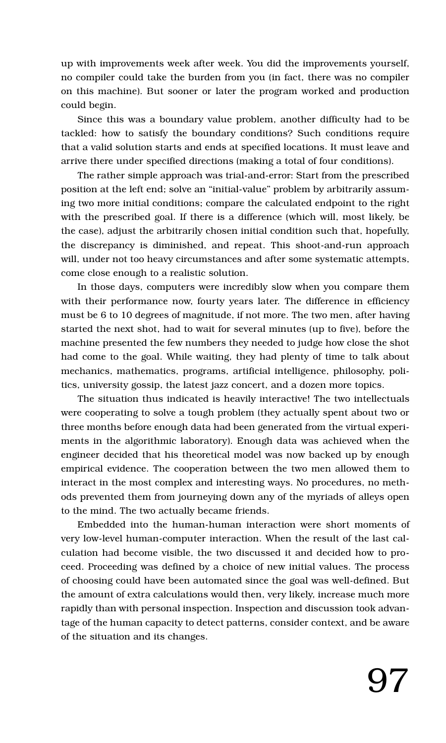up with improvements week after week. You did the improvements yourself, no compiler could take the burden from you (in fact, there was no compiler on this machine). But sooner or later the program worked and production could begin.

Since this was a boundary value problem, another difficulty had to be tackled: how to satisfy the boundary conditions? Such conditions require that a valid solution starts and ends at specified locations. It must leave and arrive there under specified directions (making a total of four conditions).

The rather simple approach was trial-and-error: Start from the prescribed position at the left end; solve an "initial-value" problem by arbitrarily assuming two more initial conditions; compare the calculated endpoint to the right with the prescribed goal. If there is a difference (which will, most likely, be the case), adjust the arbitrarily chosen initial condition such that, hopefully, the discrepancy is diminished, and repeat. This shoot-and-run approach will, under not too heavy circumstances and after some systematic attempts, come close enough to a realistic solution.

In those days, computers were incredibly slow when you compare them with their performance now, fourty years later. The difference in efficiency must be 6 to 10 degrees of magnitude, if not more. The two men, after having started the next shot, had to wait for several minutes (up to five), before the machine presented the few numbers they needed to judge how close the shot had come to the goal. While waiting, they had plenty of time to talk about mechanics, mathematics, programs, artificial intelligence, philosophy, politics, university gossip, the latest jazz concert, and a dozen more topics.

The situation thus indicated is heavily interactive! The two intellectuals were cooperating to solve a tough problem (they actually spent about two or three months before enough data had been generated from the virtual experiments in the algorithmic laboratory). Enough data was achieved when the engineer decided that his theoretical model was now backed up by enough empirical evidence. The cooperation between the two men allowed them to interact in the most complex and interesting ways. No procedures, no methods prevented them from journeying down any of the myriads of alleys open to the mind. The two actually became friends.

Embedded into the human-human interaction were short moments of very low-level human-computer interaction. When the result of the last calculation had become visible, the two discussed it and decided how to proceed. Proceeding was defined by a choice of new initial values. The process of choosing could have been automated since the goal was well-defined. But the amount of extra calculations would then, very likely, increase much more rapidly than with personal inspection. Inspection and discussion took advantage of the human capacity to detect patterns, consider context, and be aware of the situation and its changes.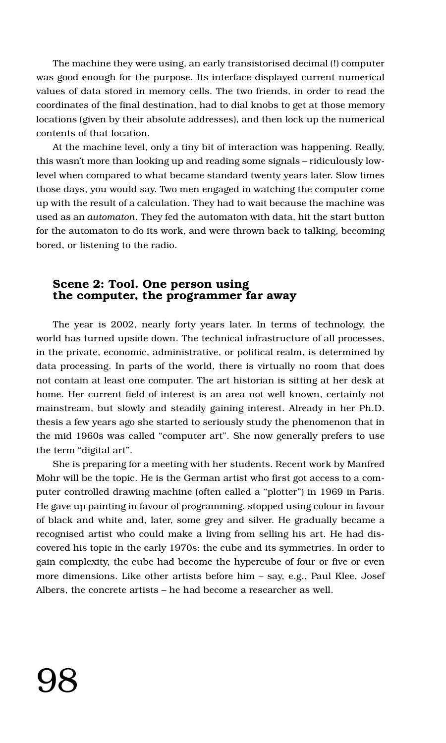The machine they were using, an early transistorised decimal (!) computer was good enough for the purpose. Its interface displayed current numerical values of data stored in memory cells. The two friends, in order to read the coordinates of the final destination, had to dial knobs to get at those memory locations (given by their absolute addresses), and then lock up the numerical contents of that location.

At the machine level, only a tiny bit of interaction was happening. Really, this wasn't more than looking up and reading some signals – ridiculously lowlevel when compared to what became standard twenty years later. Slow times those days, you would say. Two men engaged in watching the computer come up with the result of a calculation. They had to wait because the machine was used as an *automaton*. They fed the automaton with data, hit the start button for the automaton to do its work, and were thrown back to talking, becoming bored, or listening to the radio.

#### **Scene 2: Tool. One person using the computer, the programmer far away**

The year is 2002, nearly forty years later. In terms of technology, the world has turned upside down. The technical infrastructure of all processes, in the private, economic, administrative, or political realm, is determined by data processing. In parts of the world, there is virtually no room that does not contain at least one computer. The art historian is sitting at her desk at home. Her current field of interest is an area not well known, certainly not mainstream, but slowly and steadily gaining interest. Already in her Ph.D. thesis a few years ago she started to seriously study the phenomenon that in the mid 1960s was called "computer art". She now generally prefers to use the term "digital art".

She is preparing for a meeting with her students. Recent work by Manfred Mohr will be the topic. He is the German artist who first got access to a computer controlled drawing machine (often called a "plotter") in 1969 in Paris. He gave up painting in favour of programming, stopped using colour in favour of black and white and, later, some grey and silver. He gradually became a recognised artist who could make a living from selling his art. He had discovered his topic in the early 1970s: the cube and its symmetries. In order to gain complexity, the cube had become the hypercube of four or five or even more dimensions. Like other artists before him – say, e.g., Paul Klee, Josef Albers, the concrete artists – he had become a researcher as well.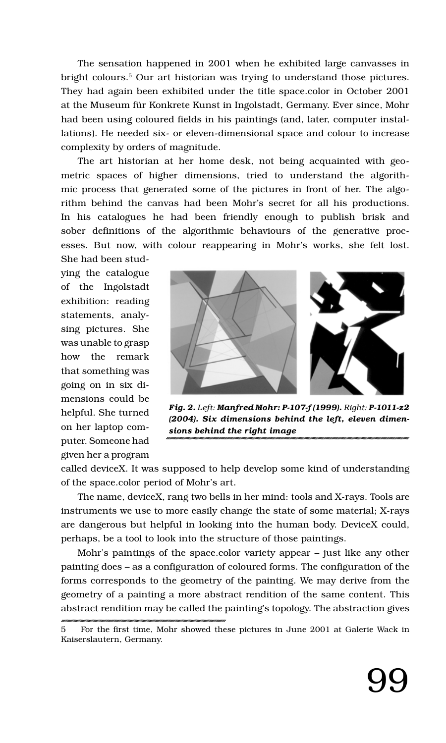The sensation happened in 2001 when he exhibited large canvasses in bright colours.5 Our art historian was trying to understand those pictures. They had again been exhibited under the title space.color in October 2001 at the Museum für Konkrete Kunst in Ingolstadt, Germany. Ever since, Mohr had been using coloured fields in his paintings (and, later, computer installations). He needed six- or eleven-dimensional space and colour to increase complexity by orders of magnitude.

The art historian at her home desk, not being acquainted with geometric spaces of higher dimensions, tried to understand the algorithmic process that generated some of the pictures in front of her. The algorithm behind the canvas had been Mohr's secret for all his productions. In his catalogues he had been friendly enough to publish brisk and sober definitions of the algorithmic behaviours of the generative processes. But now, with colour reappearing in Mohr's works, she felt lost.

She had been studying the catalogue of the Ingolstadt exhibition: reading statements, analysing pictures. She was unable to grasp how the remark that something was going on in six dimensions could be helpful. She turned on her laptop computer. Someone had given her a program



*Fig. 2. Left: Manfred Mohr: P-107-f (1999). Right: P-1011-z2 (2004). Six dimensions behind the left, eleven dimensions behind the right image*

called deviceX. It was supposed to help develop some kind of understanding of the space.color period of Mohr's art.

The name, deviceX, rang two bells in her mind: tools and X-rays. Tools are instruments we use to more easily change the state of some material; X-rays are dangerous but helpful in looking into the human body. DeviceX could, perhaps, be a tool to look into the structure of those paintings.

Mohr's paintings of the space.color variety appear – just like any other painting does – as a configuration of coloured forms. The configuration of the forms corresponds to the geometry of the painting. We may derive from the geometry of a painting a more abstract rendition of the same content. This abstract rendition may be called the painting's topology. The abstraction gives

<sup>5</sup> For the first time, Mohr showed these pictures in June 2001 at Galerie Wack in Kaiserslautern, Germany.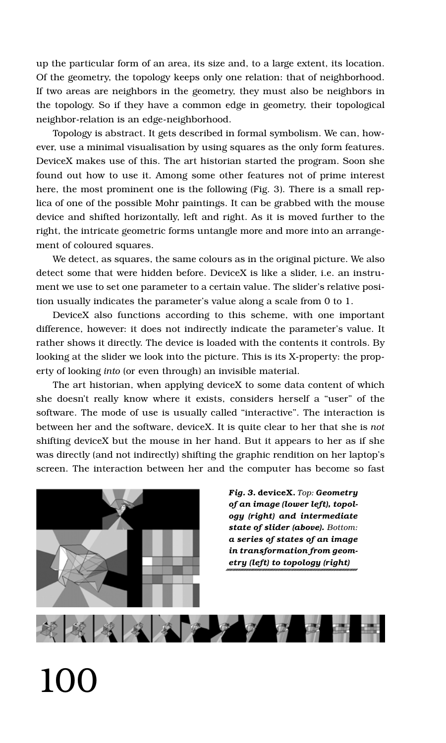up the particular form of an area, its size and, to a large extent, its location. Of the geometry, the topology keeps only one relation: that of neighborhood. If two areas are neighbors in the geometry, they must also be neighbors in the topology. So if they have a common edge in geometry, their topological neighbor-relation is an edge-neighborhood.

Topology is abstract. It gets described in formal symbolism. We can, however, use a minimal visualisation by using squares as the only form features. DeviceX makes use of this. The art historian started the program. Soon she found out how to use it. Among some other features not of prime interest here, the most prominent one is the following (Fig. 3). There is a small replica of one of the possible Mohr paintings. It can be grabbed with the mouse device and shifted horizontally, left and right. As it is moved further to the right, the intricate geometric forms untangle more and more into an arrangement of coloured squares.

We detect, as squares, the same colours as in the original picture. We also detect some that were hidden before. DeviceX is like a slider, i.e. an instrument we use to set one parameter to a certain value. The slider's relative position usually indicates the parameter's value along a scale from 0 to 1.

DeviceX also functions according to this scheme, with one important difference, however: it does not indirectly indicate the parameter's value. It rather shows it directly. The device is loaded with the contents it controls. By looking at the slider we look into the picture. This is its X-property: the property of looking *into* (or even through) an invisible material.

The art historian, when applying deviceX to some data content of which she doesn't really know where it exists, considers herself a "user" of the software. The mode of use is usually called "interactive". The interaction is between her and the software, deviceX. It is quite clear to her that she is *not* shifting deviceX but the mouse in her hand. But it appears to her as if she was directly (and not indirectly) shifting the graphic rendition on her laptop's screen. The interaction between her and the computer has become so fast



*Fig. 3.* **deviceX.** *Top: Geometry of an image (lower left), topology (right) and intermediate state of slider (above). Bottom: a series of states of an image in transformation from geometry (left) to topology (right)*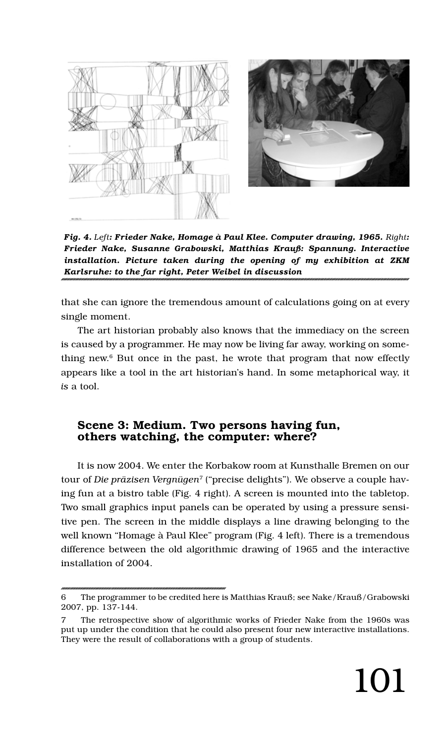



*Fig. 4. Left: Frieder Nake, Homage à Paul Klee. Computer drawing, 1965. Right: Frieder Nake, Susanne Grabowski, Matthias Krauß: Spannung. Interactive installation. Picture taken during the opening of my exhibition at ZKM Karlsruhe: to the far right, Peter Weibel in discussion*

that she can ignore the tremendous amount of calculations going on at every single moment.

The art historian probably also knows that the immediacy on the screen is caused by a programmer. He may now be living far away, working on something new. $6$  But once in the past, he wrote that program that now effectly appears like a tool in the art historian's hand. In some metaphorical way, it *is* a tool.

#### **Scene 3: Medium. Two persons having fun, others watching, the computer: where?**

It is now 2004. We enter the Korbakow room at Kunsthalle Bremen on our tour of *Die präzisen Vergnügen*<sup>7</sup> ("precise delights"). We observe a couple having fun at a bistro table (Fig. 4 right). A screen is mounted into the tabletop. Two small graphics input panels can be operated by using a pressure sensitive pen. The screen in the middle displays a line drawing belonging to the well known "Homage à Paul Klee" program (Fig. 4 left). There is a tremendous difference between the old algorithmic drawing of 1965 and the interactive installation of 2004.

<sup>6</sup> The programmer to be credited here is Matthias Krauß; see Nake/Krauß/Grabowski 2007, pp. 137-144.

<sup>7</sup> The retrospective show of algorithmic works of Frieder Nake from the 1960s was put up under the condition that he could also present four new interactive installations. They were the result of collaborations with a group of students.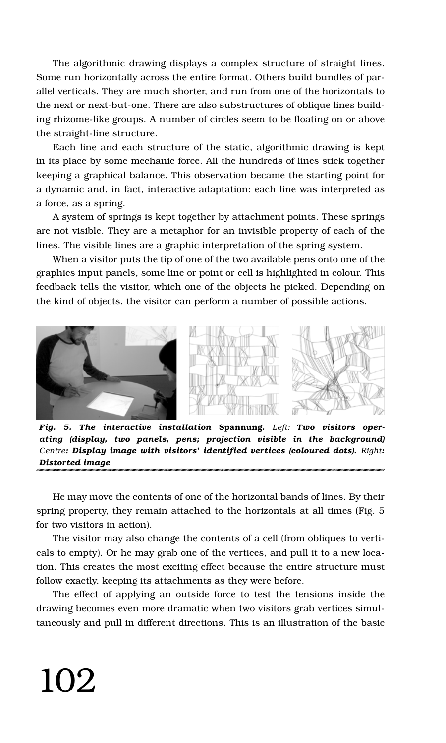The algorithmic drawing displays a complex structure of straight lines. Some run horizontally across the entire format. Others build bundles of parallel verticals. They are much shorter, and run from one of the horizontals to the next or next-but-one. There are also substructures of oblique lines building rhizome-like groups. A number of circles seem to be floating on or above the straight-line structure.

Each line and each structure of the static, algorithmic drawing is kept in its place by some mechanic force. All the hundreds of lines stick together keeping a graphical balance. This observation became the starting point for a dynamic and, in fact, interactive adaptation: each line was interpreted as a force, as a spring.

A system of springs is kept together by attachment points. These springs are not visible. They are a metaphor for an invisible property of each of the lines. The visible lines are a graphic interpretation of the spring system.

When a visitor puts the tip of one of the two available pens onto one of the graphics input panels, some line or point or cell is highlighted in colour. This feedback tells the visitor, which one of the objects he picked. Depending on the kind of objects, the visitor can perform a number of possible actions.



*Fig. 5. The interactive installation* **Spannung***. Left: Two visitors operating (display, two panels, pens; projection visible in the background) Centre: Display image with visitors' identified vertices (coloured dots). Right: Distorted image*

He may move the contents of one of the horizontal bands of lines. By their spring property, they remain attached to the horizontals at all times (Fig. 5 for two visitors in action).

The visitor may also change the contents of a cell (from obliques to verticals to empty). Or he may grab one of the vertices, and pull it to a new location. This creates the most exciting effect because the entire structure must follow exactly, keeping its attachments as they were before.

The effect of applying an outside force to test the tensions inside the drawing becomes even more dramatic when two visitors grab vertices simultaneously and pull in different directions. This is an illustration of the basic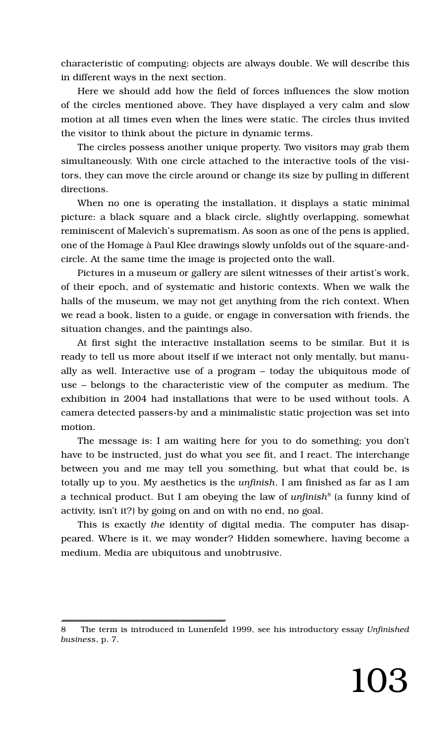characteristic of computing: objects are always double. We will describe this in different ways in the next section.

Here we should add how the field of forces influences the slow motion of the circles mentioned above. They have displayed a very calm and slow motion at all times even when the lines were static. The circles thus invited the visitor to think about the picture in dynamic terms.

The circles possess another unique property. Two visitors may grab them simultaneously. With one circle attached to the interactive tools of the visitors, they can move the circle around or change its size by pulling in different directions.

When no one is operating the installation, it displays a static minimal picture: a black square and a black circle, slightly overlapping, somewhat reminiscent of Malevich's suprematism. As soon as one of the pens is applied, one of the Homage à Paul Klee drawings slowly unfolds out of the square-andcircle. At the same time the image is projected onto the wall.

Pictures in a museum or gallery are silent witnesses of their artist's work, of their epoch, and of systematic and historic contexts. When we walk the halls of the museum, we may not get anything from the rich context. When we read a book, listen to a guide, or engage in conversation with friends, the situation changes, and the paintings also.

At first sight the interactive installation seems to be similar. But it is ready to tell us more about itself if we interact not only mentally, but manually as well. Interactive use of a program – today the ubiquitous mode of use – belongs to the characteristic view of the computer as medium. The exhibition in 2004 had installations that were to be used without tools. A camera detected passers-by and a minimalistic static projection was set into motion.

The message is: I am waiting here for you to do something; you don't have to be instructed, just do what you see fit, and I react. The interchange between you and me may tell you something, but what that could be, is totally up to you. My aesthetics is the *unfinish*. I am finished as far as I am a technical product. But I am obeying the law of *unfinish*8 (a funny kind of activity, isn't it?) by going on and on with no end, no goal.

This is exactly *the* identity of digital media. The computer has disappeared. Where is it, we may wonder? Hidden somewhere, having become a medium. Media are ubiquitous and unobtrusive.

<sup>8</sup> The term is introduced in Lunenfeld 1999, see his introductory essay *Unfinished business*, p. 7.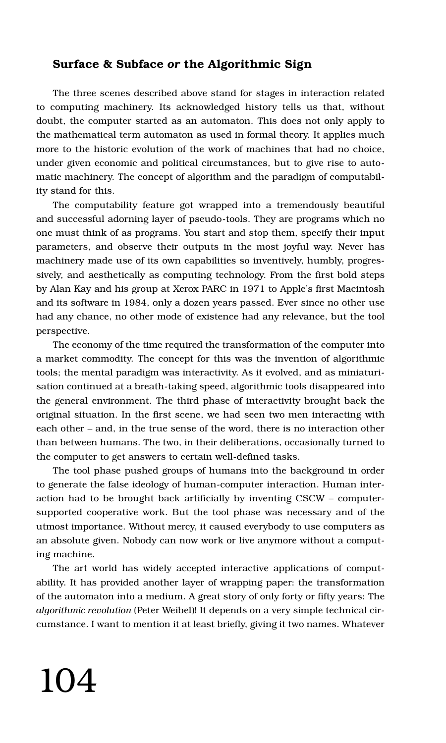#### **Surface & Subface** *or* **the Algorithmic Sign**

The three scenes described above stand for stages in interaction related to computing machinery. Its acknowledged history tells us that, without doubt, the computer started as an automaton. This does not only apply to the mathematical term automaton as used in formal theory. It applies much more to the historic evolution of the work of machines that had no choice, under given economic and political circumstances, but to give rise to automatic machinery. The concept of algorithm and the paradigm of computability stand for this.

The computability feature got wrapped into a tremendously beautiful and successful adorning layer of pseudo-tools. They are programs which no one must think of as programs. You start and stop them, specify their input parameters, and observe their outputs in the most joyful way. Never has machinery made use of its own capabilities so inventively, humbly, progressively, and aesthetically as computing technology. From the first bold steps by Alan Kay and his group at Xerox PARC in 1971 to Apple's first Macintosh and its software in 1984, only a dozen years passed. Ever since no other use had any chance, no other mode of existence had any relevance, but the tool perspective.

The economy of the time required the transformation of the computer into a market commodity. The concept for this was the invention of algorithmic tools; the mental paradigm was interactivity. As it evolved, and as miniaturisation continued at a breath-taking speed, algorithmic tools disappeared into the general environment. The third phase of interactivity brought back the original situation. In the first scene, we had seen two men interacting with each other – and, in the true sense of the word, there is no interaction other than between humans. The two, in their deliberations, occasionally turned to the computer to get answers to certain well-defined tasks.

The tool phase pushed groups of humans into the background in order to generate the false ideology of human-computer interaction. Human interaction had to be brought back artificially by inventing CSCW – computersupported cooperative work. But the tool phase was necessary and of the utmost importance. Without mercy, it caused everybody to use computers as an absolute given. Nobody can now work or live anymore without a computing machine.

The art world has widely accepted interactive applications of computability. It has provided another layer of wrapping paper: the transformation of the automaton into a medium. A great story of only forty or fifty years: The *algorithmic revolution* (Peter Weibel)! It depends on a very simple technical circumstance. I want to mention it at least briefly, giving it two names. Whatever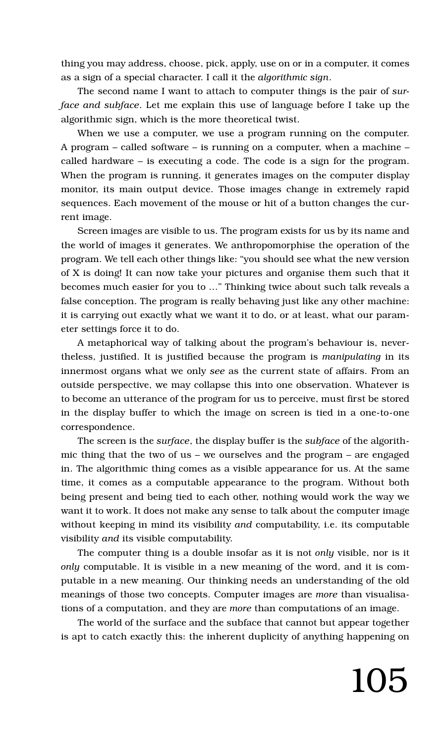thing you may address, choose, pick, apply, use on or in a computer, it comes as a sign of a special character. I call it the *algorithmic sign*.

The second name I want to attach to computer things is the pair of *surface and subface*. Let me explain this use of language before I take up the algorithmic sign, which is the more theoretical twist.

When we use a computer, we use a program running on the computer. A program – called software – is running on a computer, when a machine – called hardware – is executing a code. The code is a sign for the program. When the program is running, it generates images on the computer display monitor, its main output device. Those images change in extremely rapid sequences. Each movement of the mouse or hit of a button changes the current image.

Screen images are visible to us. The program exists for us by its name and the world of images it generates. We anthropomorphise the operation of the program. We tell each other things like: "you should see what the new version of X is doing! It can now take your pictures and organise them such that it becomes much easier for you to …" Thinking twice about such talk reveals a false conception. The program is really behaving just like any other machine: it is carrying out exactly what we want it to do, or at least, what our parameter settings force it to do.

A metaphorical way of talking about the program's behaviour is, nevertheless, justified. It is justified because the program is *manipulating* in its innermost organs what we only *see* as the current state of affairs. From an outside perspective, we may collapse this into one observation. Whatever is to become an utterance of the program for us to perceive, must first be stored in the display buffer to which the image on screen is tied in a one-to-one correspondence.

The screen is the *surface*, the display buffer is the *subface* of the algorithmic thing that the two of us – we ourselves and the program – are engaged in. The algorithmic thing comes as a visible appearance for us. At the same time, it comes as a computable appearance to the program. Without both being present and being tied to each other, nothing would work the way we want it to work. It does not make any sense to talk about the computer image without keeping in mind its visibility *and* computability, i.e. its computable visibility *and* its visible computability.

The computer thing is a double insofar as it is not *only* visible, nor is it *only* computable. It is visible in a new meaning of the word, and it is computable in a new meaning. Our thinking needs an understanding of the old meanings of those two concepts. Computer images are *more* than visualisations of a computation, and they are *more* than computations of an image.

The world of the surface and the subface that cannot but appear together is apt to catch exactly this: the inherent duplicity of anything happening on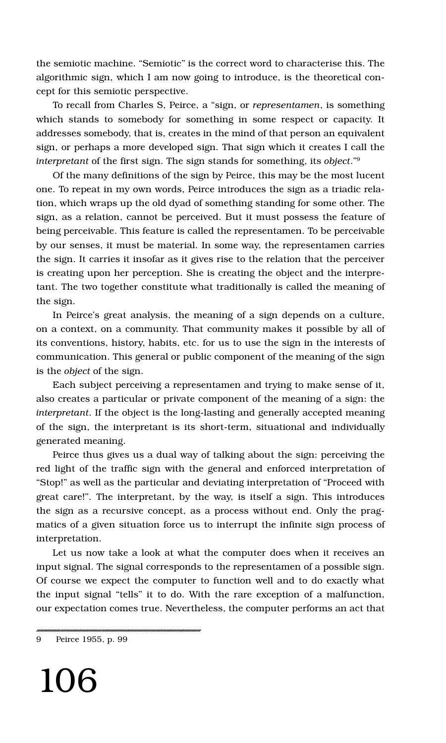the semiotic machine. "Semiotic" is the correct word to characterise this. The algorithmic sign, which I am now going to introduce, is the theoretical concept for this semiotic perspective.

To recall from Charles S, Peirce, a "sign, or *representamen*, is something which stands to somebody for something in some respect or capacity. It addresses somebody, that is, creates in the mind of that person an equivalent sign, or perhaps a more developed sign. That sign which it creates I call the *interpretant* of the first sign. The sign stands for something, its *object*."9

Of the many definitions of the sign by Peirce, this may be the most lucent one. To repeat in my own words, Peirce introduces the sign as a triadic relation, which wraps up the old dyad of something standing for some other. The sign, as a relation, cannot be perceived. But it must possess the feature of being perceivable. This feature is called the representamen. To be perceivable by our senses, it must be material. In some way, the representamen carries the sign. It carries it insofar as it gives rise to the relation that the perceiver is creating upon her perception. She is creating the object and the interpretant. The two together constitute what traditionally is called the meaning of the sign.

In Peirce's great analysis, the meaning of a sign depends on a culture, on a context, on a community. That community makes it possible by all of its conventions, history, habits, etc. for us to use the sign in the interests of communication. This general or public component of the meaning of the sign is the *object* of the sign.

Each subject perceiving a representamen and trying to make sense of it, also creates a particular or private component of the meaning of a sign: the *interpretant*. If the object is the long-lasting and generally accepted meaning of the sign, the interpretant is its short-term, situational and individually generated meaning.

Peirce thus gives us a dual way of talking about the sign: perceiving the red light of the traffic sign with the general and enforced interpretation of "Stop!" as well as the particular and deviating interpretation of "Proceed with great care!". The interpretant, by the way, is itself a sign. This introduces the sign as a recursive concept, as a process without end. Only the pragmatics of a given situation force us to interrupt the infinite sign process of interpretation.

Let us now take a look at what the computer does when it receives an input signal. The signal corresponds to the representamen of a possible sign. Of course we expect the computer to function well and to do exactly what the input signal "tells" it to do. With the rare exception of a malfunction, our expectation comes true. Nevertheless, the computer performs an act that

<sup>9</sup> Peirce 1955, p. 99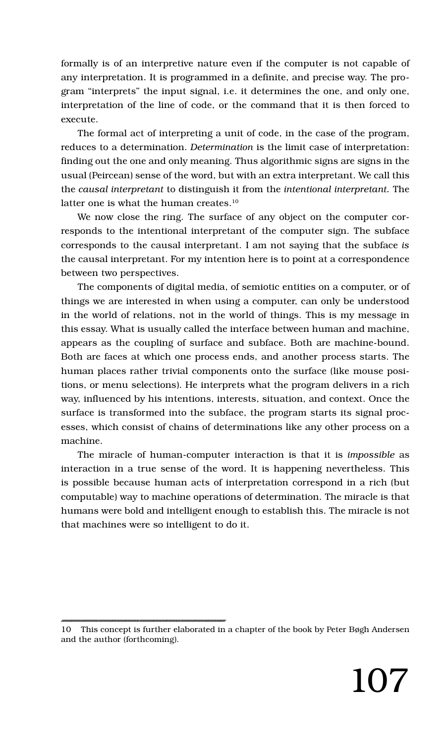formally is of an interpretive nature even if the computer is not capable of any interpretation. It is programmed in a definite, and precise way. The program "interprets" the input signal, i.e. it determines the one, and only one, interpretation of the line of code, or the command that it is then forced to execute.

The formal act of interpreting a unit of code, in the case of the program, reduces to a determination. *Determination* is the limit case of interpretation: finding out the one and only meaning. Thus algorithmic signs are signs in the usual (Peircean) sense of the word, but with an extra interpretant. We call this the *causal interpretant* to distinguish it from the *intentional interpretant.* The latter one is what the human creates.<sup>10</sup>

We now close the ring. The surface of any object on the computer corresponds to the intentional interpretant of the computer sign. The subface corresponds to the causal interpretant. I am not saying that the subface *is* the causal interpretant. For my intention here is to point at a correspondence between two perspectives.

The components of digital media, of semiotic entities on a computer, or of things we are interested in when using a computer, can only be understood in the world of relations, not in the world of things. This is my message in this essay. What is usually called the interface between human and machine, appears as the coupling of surface and subface. Both are machine-bound. Both are faces at which one process ends, and another process starts. The human places rather trivial components onto the surface (like mouse positions, or menu selections). He interprets what the program delivers in a rich way, influenced by his intentions, interests, situation, and context. Once the surface is transformed into the subface, the program starts its signal processes, which consist of chains of determinations like any other process on a machine.

The miracle of human-computer interaction is that it is *impossible* as interaction in a true sense of the word. It is happening nevertheless. This is possible because human acts of interpretation correspond in a rich (but computable) way to machine operations of determination. The miracle is that humans were bold and intelligent enough to establish this. The miracle is not that machines were so intelligent to do it.

<sup>10</sup> This concept is further elaborated in a chapter of the book by Peter Bøgh Andersen and the author (forthcoming).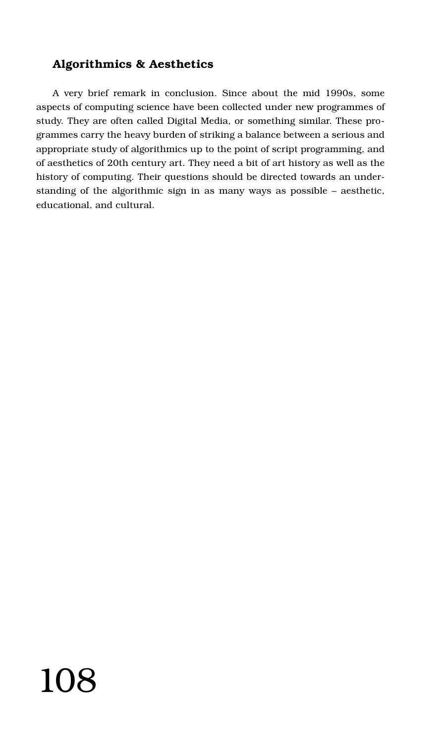### **Algorithmics & Aesthetics**

A very brief remark in conclusion. Since about the mid 1990s, some aspects of computing science have been collected under new programmes of study. They are often called Digital Media, or something similar. These programmes carry the heavy burden of striking a balance between a serious and appropriate study of algorithmics up to the point of script programming, and of aesthetics of 20th century art. They need a bit of art history as well as the history of computing. Their questions should be directed towards an understanding of the algorithmic sign in as many ways as possible – aesthetic, educational, and cultural.